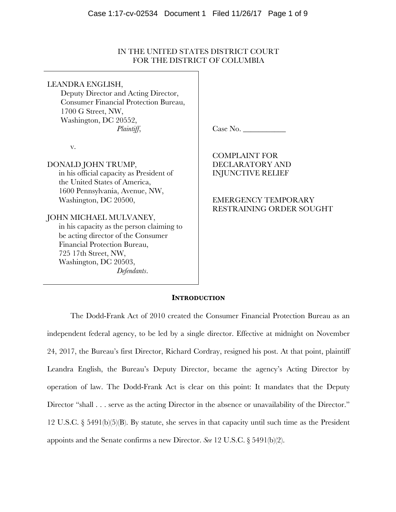# IN THE UNITED STATES DISTRICT COURT FOR THE DISTRICT OF COLUMBIA

LEANDRA ENGLISH, Deputy Director and Acting Director, Consumer Financial Protection Bureau, 1700 G Street, NW, Washington, DC 20552, *Plaintiff*,

v.

DONALD JOHN TRUMP,

in his official capacity as President of the United States of America, 1600 Pennsylvania, Avenue, NW, Washington, DC 20500,

JOHN MICHAEL MULVANEY,

in his capacity as the person claiming to be acting director of the Consumer Financial Protection Bureau, 725 17th Street, NW, Washington, DC 20503, *Defendants*.

Case No.

COMPLAINT FOR DECLARATORY AND INJUNCTIVE RELIEF

EMERGENCY TEMPORARY RESTRAINING ORDER SOUGHT

#### **INTRODUCTION**

The Dodd-Frank Act of 2010 created the Consumer Financial Protection Bureau as an independent federal agency, to be led by a single director. Effective at midnight on November 24, 2017, the Bureau's first Director, Richard Cordray, resigned his post. At that point, plaintiff Leandra English, the Bureau's Deputy Director, became the agency's Acting Director by operation of law. The Dodd-Frank Act is clear on this point: It mandates that the Deputy Director "shall . . . serve as the acting Director in the absence or unavailability of the Director." 12 U.S.C. § 5491(b)(5)(B). By statute, she serves in that capacity until such time as the President appoints and the Senate confirms a new Director. *See* 12 U.S.C. § 5491(b)(2).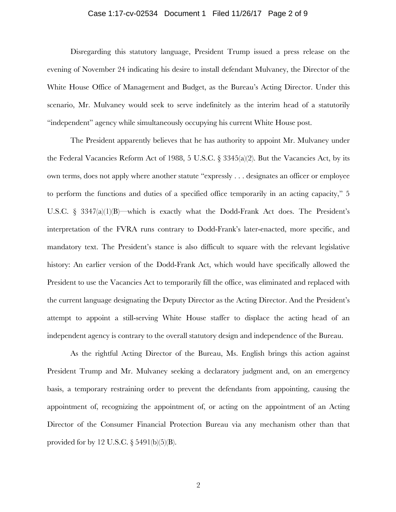## Case 1:17-cv-02534 Document 1 Filed 11/26/17 Page 2 of 9

Disregarding this statutory language, President Trump issued a press release on the evening of November 24 indicating his desire to install defendant Mulvaney, the Director of the White House Office of Management and Budget, as the Bureau's Acting Director. Under this scenario, Mr. Mulvaney would seek to serve indefinitely as the interim head of a statutorily "independent" agency while simultaneously occupying his current White House post.

The President apparently believes that he has authority to appoint Mr. Mulvaney under the Federal Vacancies Reform Act of 1988, 5 U.S.C. § 3345(a)(2). But the Vacancies Act, by its own terms, does not apply where another statute "expressly . . . designates an officer or employee to perform the functions and duties of a specified office temporarily in an acting capacity," 5 U.S.C. § 3347(a)(1)(B)—which is exactly what the Dodd-Frank Act does. The President's interpretation of the FVRA runs contrary to Dodd-Frank's later-enacted, more specific, and mandatory text. The President's stance is also difficult to square with the relevant legislative history: An earlier version of the Dodd-Frank Act, which would have specifically allowed the President to use the Vacancies Act to temporarily fill the office, was eliminated and replaced with the current language designating the Deputy Director as the Acting Director. And the President's attempt to appoint a still-serving White House staffer to displace the acting head of an independent agency is contrary to the overall statutory design and independence of the Bureau.

As the rightful Acting Director of the Bureau, Ms. English brings this action against President Trump and Mr. Mulvaney seeking a declaratory judgment and, on an emergency basis, a temporary restraining order to prevent the defendants from appointing, causing the appointment of, recognizing the appointment of, or acting on the appointment of an Acting Director of the Consumer Financial Protection Bureau via any mechanism other than that provided for by 12 U.S.C. § 5491(b)(5)(B).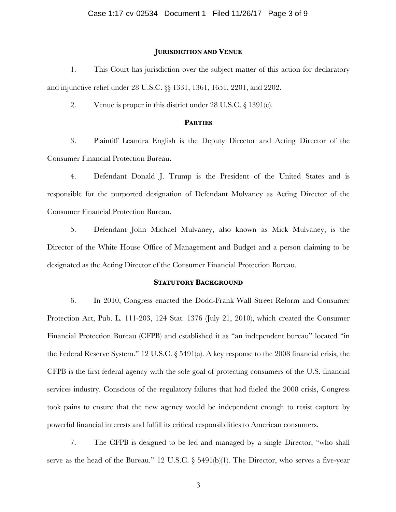#### **JURISDICTION AND VENUE**

1. This Court has jurisdiction over the subject matter of this action for declaratory and injunctive relief under 28 U.S.C. §§ 1331, 1361, 1651, 2201, and 2202.

2. Venue is proper in this district under 28 U.S.C. § 1391(e).

## **PARTIES**

3. Plaintiff Leandra English is the Deputy Director and Acting Director of the Consumer Financial Protection Bureau.

4. Defendant Donald J. Trump is the President of the United States and is responsible for the purported designation of Defendant Mulvaney as Acting Director of the Consumer Financial Protection Bureau.

5. Defendant John Michael Mulvaney, also known as Mick Mulvaney, is the Director of the White House Office of Management and Budget and a person claiming to be designated as the Acting Director of the Consumer Financial Protection Bureau.

### **STATUTORY BACKGROUND**

6. In 2010, Congress enacted the Dodd-Frank Wall Street Reform and Consumer Protection Act, Pub. L. 111-203, 124 Stat. 1376 (July 21, 2010), which created the Consumer Financial Protection Bureau (CFPB) and established it as "an independent bureau" located "in the Federal Reserve System." 12 U.S.C. § 5491(a). A key response to the 2008 financial crisis, the CFPB is the first federal agency with the sole goal of protecting consumers of the U.S. financial services industry. Conscious of the regulatory failures that had fueled the 2008 crisis, Congress took pains to ensure that the new agency would be independent enough to resist capture by powerful financial interests and fulfill its critical responsibilities to American consumers.

7. The CFPB is designed to be led and managed by a single Director, "who shall serve as the head of the Bureau." 12 U.S.C. § 5491(b)(1). The Director, who serves a five-year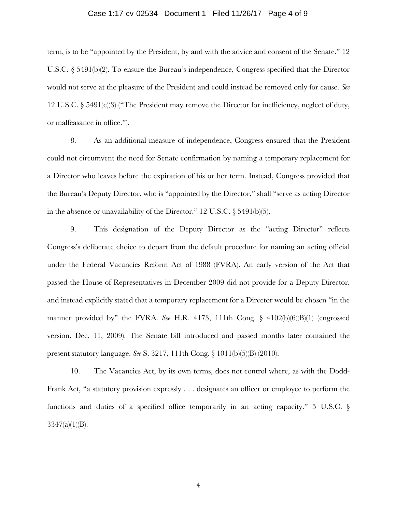## Case 1:17-cv-02534 Document 1 Filed 11/26/17 Page 4 of 9

term, is to be "appointed by the President, by and with the advice and consent of the Senate." 12 U.S.C. § 5491(b)(2). To ensure the Bureau's independence, Congress specified that the Director would not serve at the pleasure of the President and could instead be removed only for cause. *See*  12 U.S.C. § 5491(c)(3) ("The President may remove the Director for inefficiency, neglect of duty, or malfeasance in office.").

8. As an additional measure of independence, Congress ensured that the President could not circumvent the need for Senate confirmation by naming a temporary replacement for a Director who leaves before the expiration of his or her term. Instead, Congress provided that the Bureau's Deputy Director, who is "appointed by the Director," shall "serve as acting Director in the absence or unavailability of the Director." 12 U.S.C. § 5491(b)(5).

9. This designation of the Deputy Director as the "acting Director" reflects Congress's deliberate choice to depart from the default procedure for naming an acting official under the Federal Vacancies Reform Act of 1988 (FVRA). An early version of the Act that passed the House of Representatives in December 2009 did not provide for a Deputy Director, and instead explicitly stated that a temporary replacement for a Director would be chosen "in the manner provided by" the FVRA. *See* H.R. 4173, 111th Cong. § 4102(b)(6)(B)(1) (engrossed version, Dec. 11, 2009). The Senate bill introduced and passed months later contained the present statutory language. *See* S. 3217, 111th Cong. § 1011(b)(5)(B) (2010).

10. The Vacancies Act, by its own terms, does not control where, as with the Dodd-Frank Act, "a statutory provision expressly . . . designates an officer or employee to perform the functions and duties of a specified office temporarily in an acting capacity." 5 U.S.C. §  $3347(a)(1)(B)$ .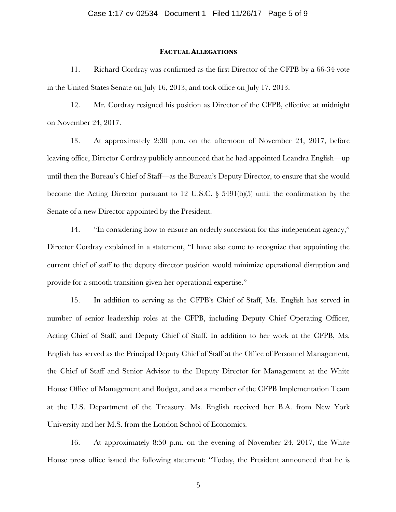#### **FACTUAL ALLEGATIONS**

11. Richard Cordray was confirmed as the first Director of the CFPB by a 66-34 vote in the United States Senate on July 16, 2013, and took office on July 17, 2013.

12. Mr. Cordray resigned his position as Director of the CFPB, effective at midnight on November 24, 2017.

13. At approximately 2:30 p.m. on the afternoon of November 24, 2017, before leaving office, Director Cordray publicly announced that he had appointed Leandra English—up until then the Bureau's Chief of Staff—as the Bureau's Deputy Director, to ensure that she would become the Acting Director pursuant to 12 U.S.C. § 5491(b)(5) until the confirmation by the Senate of a new Director appointed by the President.

14. "In considering how to ensure an orderly succession for this independent agency," Director Cordray explained in a statement, "I have also come to recognize that appointing the current chief of staff to the deputy director position would minimize operational disruption and provide for a smooth transition given her operational expertise."

15. In addition to serving as the CFPB's Chief of Staff, Ms. English has served in number of senior leadership roles at the CFPB, including Deputy Chief Operating Officer, Acting Chief of Staff, and Deputy Chief of Staff. In addition to her work at the CFPB, Ms. English has served as the Principal Deputy Chief of Staff at the Office of Personnel Management, the Chief of Staff and Senior Advisor to the Deputy Director for Management at the White House Office of Management and Budget, and as a member of the CFPB Implementation Team at the U.S. Department of the Treasury. Ms. English received her B.A. from New York University and her M.S. from the London School of Economics.

16. At approximately 8:50 p.m. on the evening of November 24, 2017, the White House press office issued the following statement: "Today, the President announced that he is

5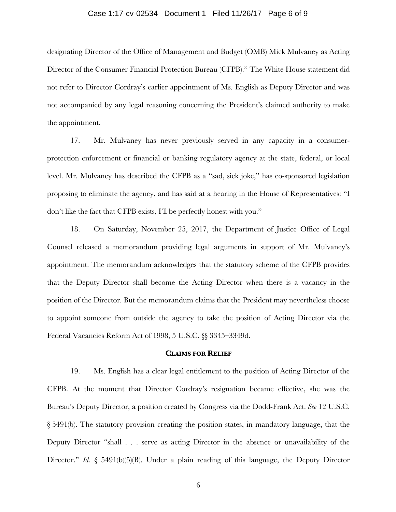## Case 1:17-cv-02534 Document 1 Filed 11/26/17 Page 6 of 9

designating Director of the Office of Management and Budget (OMB) Mick Mulvaney as Acting Director of the Consumer Financial Protection Bureau (CFPB)." The White House statement did not refer to Director Cordray's earlier appointment of Ms. English as Deputy Director and was not accompanied by any legal reasoning concerning the President's claimed authority to make the appointment.

17. Mr. Mulvaney has never previously served in any capacity in a consumerprotection enforcement or financial or banking regulatory agency at the state, federal, or local level. Mr. Mulvaney has described the CFPB as a "sad, sick joke," has co-sponsored legislation proposing to eliminate the agency, and has said at a hearing in the House of Representatives: "I don't like the fact that CFPB exists, I'll be perfectly honest with you."

18. On Saturday, November 25, 2017, the Department of Justice Office of Legal Counsel released a memorandum providing legal arguments in support of Mr. Mulvaney's appointment. The memorandum acknowledges that the statutory scheme of the CFPB provides that the Deputy Director shall become the Acting Director when there is a vacancy in the position of the Director. But the memorandum claims that the President may nevertheless choose to appoint someone from outside the agency to take the position of Acting Director via the Federal Vacancies Reform Act of 1998, 5 U.S.C. §§ 3345–3349d.

#### **CLAIMS FOR RELIEF**

19. Ms. English has a clear legal entitlement to the position of Acting Director of the CFPB. At the moment that Director Cordray's resignation became effective, she was the Bureau's Deputy Director, a position created by Congress via the Dodd-Frank Act. *See* 12 U.S.C. § 5491(b). The statutory provision creating the position states, in mandatory language, that the Deputy Director "shall . . . serve as acting Director in the absence or unavailability of the Director." *Id.* § 5491(b)(5)(B). Under a plain reading of this language, the Deputy Director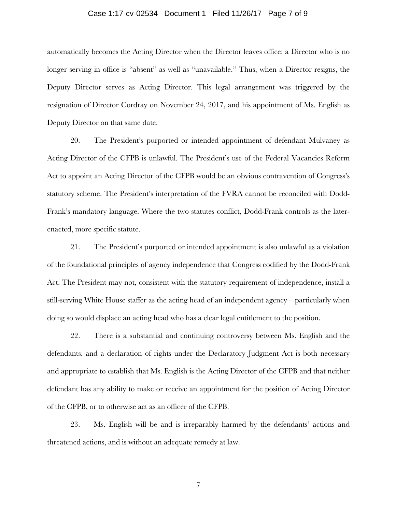## Case 1:17-cv-02534 Document 1 Filed 11/26/17 Page 7 of 9

automatically becomes the Acting Director when the Director leaves office: a Director who is no longer serving in office is "absent" as well as "unavailable." Thus, when a Director resigns, the Deputy Director serves as Acting Director. This legal arrangement was triggered by the resignation of Director Cordray on November 24, 2017, and his appointment of Ms. English as Deputy Director on that same date.

20. The President's purported or intended appointment of defendant Mulvaney as Acting Director of the CFPB is unlawful. The President's use of the Federal Vacancies Reform Act to appoint an Acting Director of the CFPB would be an obvious contravention of Congress's statutory scheme. The President's interpretation of the FVRA cannot be reconciled with Dodd-Frank's mandatory language. Where the two statutes conflict, Dodd-Frank controls as the laterenacted, more specific statute.

21. The President's purported or intended appointment is also unlawful as a violation of the foundational principles of agency independence that Congress codified by the Dodd-Frank Act. The President may not, consistent with the statutory requirement of independence, install a still-serving White House staffer as the acting head of an independent agency—particularly when doing so would displace an acting head who has a clear legal entitlement to the position.

22. There is a substantial and continuing controversy between Ms. English and the defendants, and a declaration of rights under the Declaratory Judgment Act is both necessary and appropriate to establish that Ms. English is the Acting Director of the CFPB and that neither defendant has any ability to make or receive an appointment for the position of Acting Director of the CFPB, or to otherwise act as an officer of the CFPB.

23. Ms. English will be and is irreparably harmed by the defendants' actions and threatened actions, and is without an adequate remedy at law.

7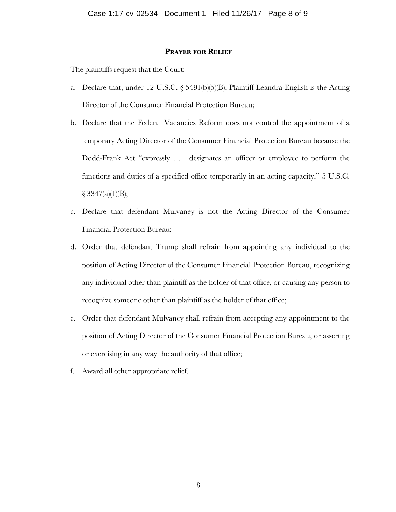## **PRAYER FOR RELIEF**

The plaintiffs request that the Court:

- a. Declare that, under 12 U.S.C. § 5491(b)(5)(B), Plaintiff Leandra English is the Acting Director of the Consumer Financial Protection Bureau;
- b. Declare that the Federal Vacancies Reform does not control the appointment of a temporary Acting Director of the Consumer Financial Protection Bureau because the Dodd-Frank Act "expressly . . . designates an officer or employee to perform the functions and duties of a specified office temporarily in an acting capacity," 5 U.S.C.  $§ 3347(a)(1)(B);$
- c. Declare that defendant Mulvaney is not the Acting Director of the Consumer Financial Protection Bureau;
- d. Order that defendant Trump shall refrain from appointing any individual to the position of Acting Director of the Consumer Financial Protection Bureau, recognizing any individual other than plaintiff as the holder of that office, or causing any person to recognize someone other than plaintiff as the holder of that office;
- e. Order that defendant Mulvaney shall refrain from accepting any appointment to the position of Acting Director of the Consumer Financial Protection Bureau, or asserting or exercising in any way the authority of that office;
- f. Award all other appropriate relief.